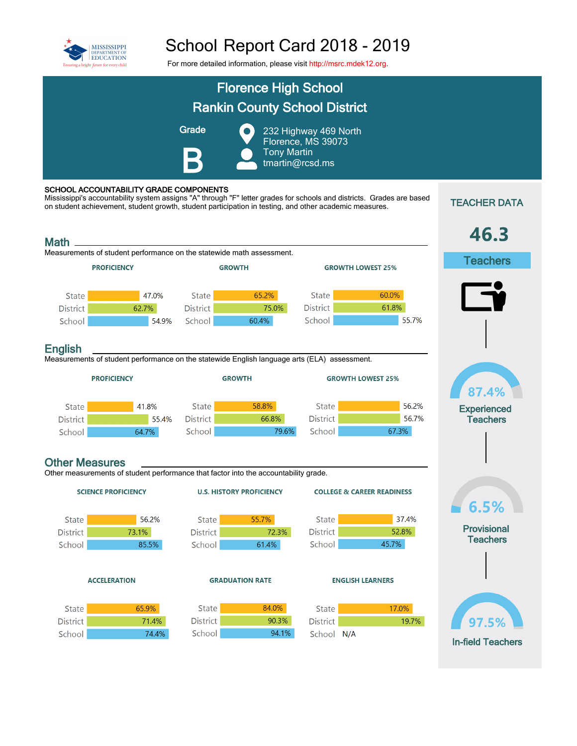

## School Report Card 2018 - 2019

For more detailed information, please visit [http://msrc.mdek12.org](http://msrc.mdek12.org/).